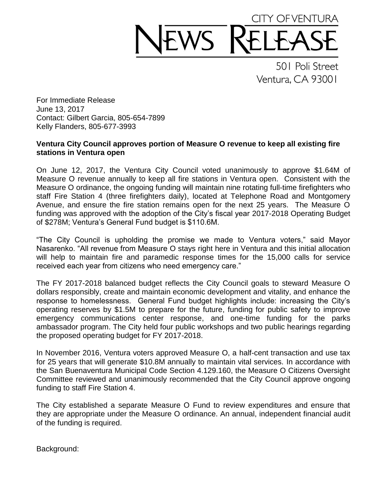## CITY OF VENTURA WS R

501 Poli Street Ventura, CA 93001

For Immediate Release June 13, 2017 Contact: Gilbert Garcia, 805-654-7899 Kelly Flanders, 805-677-3993

## **Ventura City Council approves portion of Measure O revenue to keep all existing fire stations in Ventura open**

On June 12, 2017, the Ventura City Council voted unanimously to approve \$1.64M of Measure O revenue annually to keep all fire stations in Ventura open. Consistent with the Measure O ordinance, the ongoing funding will maintain nine rotating full-time firefighters who staff Fire Station 4 (three firefighters daily), located at Telephone Road and Montgomery Avenue, and ensure the fire station remains open for the next 25 years. The Measure O funding was approved with the adoption of the City's fiscal year 2017-2018 Operating Budget of \$278M; Ventura's General Fund budget is \$110.6M.

"The City Council is upholding the promise we made to Ventura voters," said Mayor Nasarenko. "All revenue from Measure O stays right here in Ventura and this initial allocation will help to maintain fire and paramedic response times for the 15,000 calls for service received each year from citizens who need emergency care."

The FY 2017-2018 balanced budget reflects the City Council goals to steward Measure O dollars responsibly, create and maintain economic development and vitality, and enhance the response to homelessness. General Fund budget highlights include: increasing the City's operating reserves by \$1.5M to prepare for the future, funding for public safety to improve emergency communications center response, and one-time funding for the parks ambassador program. The City held four public workshops and two public hearings regarding the proposed operating budget for FY 2017-2018.

In November 2016, Ventura voters approved Measure O, a half-cent transaction and use tax for 25 years that will generate \$10.8M annually to maintain vital services. In accordance with the San Buenaventura Municipal Code Section 4.129.160, the Measure O Citizens Oversight Committee reviewed and unanimously recommended that the City Council approve ongoing funding to staff Fire Station 4.

The City established a separate Measure O Fund to review expenditures and ensure that they are appropriate under the Measure O ordinance. An annual, independent financial audit of the funding is required.

Background: